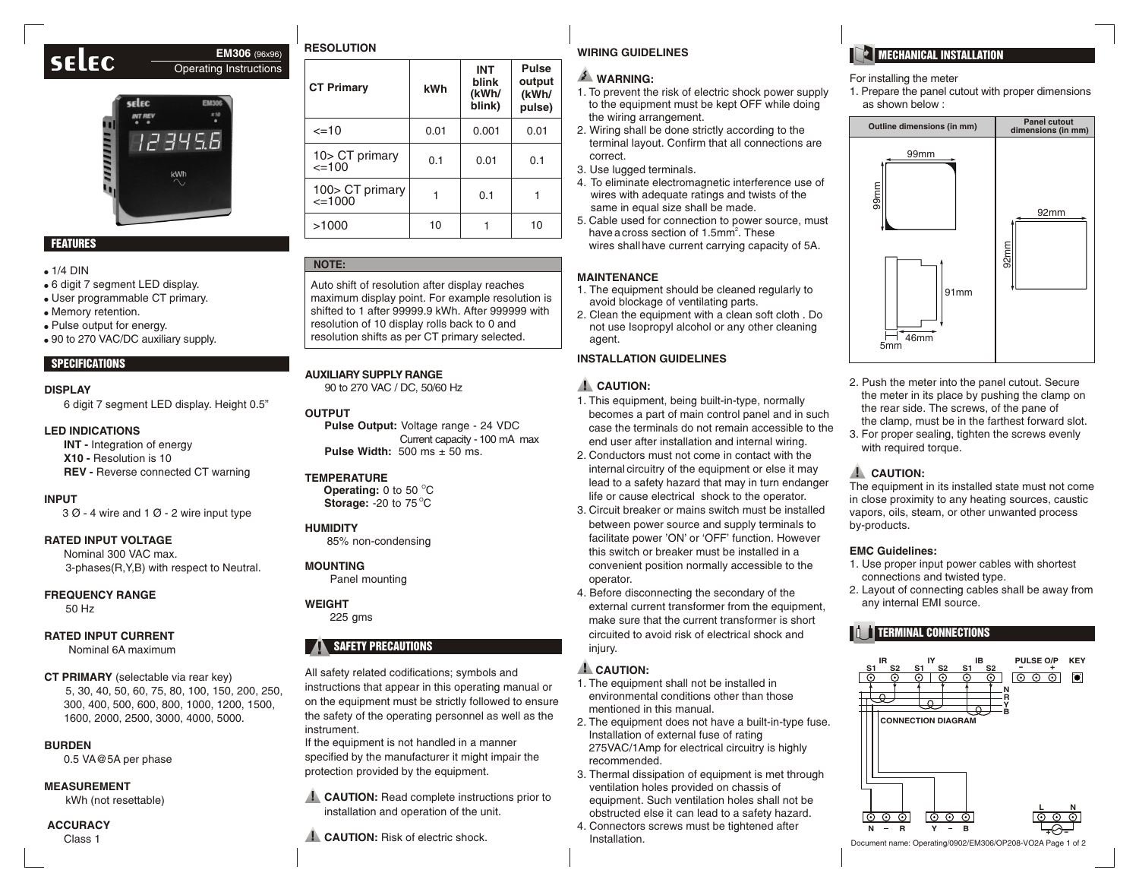## **selec EM306** (96x96) Operating Instructions

# **Selec EM306**



### FEATURES

#### $\bullet$  1/4 DIN

- ! 6 digit 7 segment LED display.
- . User programmable CT primary.
- . Memory retention.
- . Pulse output for energy.
- 90 to 270 VAC/DC auxiliary supply.

### SPECIFICATIONS

#### **DISPLAY**

6 digit 7 segment LED display. Height 0.5"

#### **LED INDICATIONS**

**INT - Integration of energy X10 -** Resolution is 10 **REV -** Reverse connected CT warning

#### **INPUT**

3 Ø - 4 wire and 1 Ø - 2 wire input type

### **RATED INPUT VOLTAGE**

Nominal 300 VAC max. 3-phases(R,Y,B) with respect to Neutral.

#### **FREQUENCY RANGE**

50 Hz

#### **RATED INPUT CURRENT**

Nominal 6A maximum

### **CT PRIMARY** (selectable via rear key)

5, 30, 40, 50, 60, 75, 80, 100, 150, 200, 250, 300, 400, 500, 600, 800, 1000, 1200, 1500, 1600, 2000, 2500, 3000, 4000, 5000.

### **BURDEN**

0.5 VA@5A per phase

### **MEASUREMENT**

kWh (not resettable)

### **ACCURACY**

Class 1

| <b>CT Primary</b>              | kWh  | <b>INT</b><br>blink<br>(kWh/<br>blink) | <b>Pulse</b><br>output<br>(kWh/<br>pulse) |
|--------------------------------|------|----------------------------------------|-------------------------------------------|
| $=10$                          | 0.01 | 0.001                                  | 0.01                                      |
| 10> CT primary<br>$=100$       | 0.1  | 0.01                                   | 0.1                                       |
| 100> CT primary<br>$\leq$ 1000 |      | 0.1                                    |                                           |
| >1000                          | 10   |                                        | 10                                        |

### **NOTE:**

Auto shift of resolution after display reaches maximum display point. For example resolution is shifted to 1 after 99999.9 kWh. After 999999 with resolution of 10 display rolls back to 0 and resolution shifts as per CT primary selected.

### **AUXILIARY SUPPLY RANGE**

90 to 270 VAC / DC, 50/60 Hz

#### **OUTPUT**

**Pulse Output:** Voltage range - 24 VDC Current capacity - 100 mA max **Pulse Width:** 500 ms ± 50 ms.

#### **TEMPERATURE**

**Operating:** 0 to 50 °C **Storage: -20 to 75 °C** 

### **HUMIDITY**

85% non-condensing

### **MOUNTING**

Panel mounting

### **WEIGHT**

225 gms

### SAFETY PRECAUTIONS

All safety related codifications; symbols and instructions that appear in this operating manual or on the equipment must be strictly followed to ensure the safety of the operating personnel as well as the instrument.

If the equipment is not handled in a manner specified by the manufacturer it might impair the protection provided by the equipment.

**CAUTION:** Read complete instructions prior to installation and operation of the unit.

**CAUTION:** Risk of electric shock.

## **RESOLUTION WIRING GUIDELINES**

### **E** WARNING:

- 1. To prevent the risk of electric shock power supply to the equipment must be kept OFF while doing the wiring arrangement.
- 2. Wiring shall be done strictly according to the terminal layout. Confirm that all connections are correct.
- 3. Use lugged terminals.
- 4. To eliminate electromagnetic interference use of wires with adequate ratings and twists of the same in equal size shall be made.
- 5. Cable used for connection to power source, must have a cross section of 1.5mm<sup>2</sup>. These wires shallhave current carrying capacity of 5A.

### **MAINTENANCE**

- 1. The equipment should be cleaned regularly to avoid blockage of ventilating parts.
- 2. Clean the equipment with a clean soft cloth . Do not use Isopropyl alcohol or any other cleaning agent.

### **INSTALLATION GUIDELINES**

### **L** CAUTION:

- 1. This equipment, being built-in-type, normally becomes a part of main control panel and in such case the terminals do not remain accessible to the end user after installation and internal wiring.
- 2. Conductors must not come in contact with the internal circuitry of the equipment or else it may lead to a safety hazard that may in turn endanger life or cause electrical shock to the operator.
- 3. Circuit breaker or mains switch must be installed between power source and supply terminals to facilitate power 'ON' or 'OFF' function. However this switch or breaker must be installed in a convenient position normally accessible to the operator.
- 4. Before disconnecting the secondary of the external current transformer from the equipment, make sure that the current transformer is short circuited to avoid risk of electrical shock and injury.

### **L** CAUTION:

- 1. The equipment shall not be installed in environmental conditions other than those mentioned in this manual.
- 2. The equipment does not have a built-in-type fuse. Installation of external fuse of rating 275VAC/1Amp for electrical circuitry is highly recommended.
- 3. Thermal dissipation of equipment is met through ventilation holes provided on chassis of equipment. Such ventilation holes shall not be obstructed else it can lead to a safety hazard.
- 4. Connectors screws must be tightened after Installation.

## **MECHANICAL INSTALLATION**

### For installing the meter

1. Prepare the panel cutout with proper dimensions as shown below :



- 2. Push the meter into the panel cutout. Secure the meter in its place by pushing the clamp on the rear side. The screws, of the pane of the clamp, must be in the farthest forward slot.
- 3. For proper sealing, tighten the screws evenly with required torque.

### **A** CAUTION:

The equipment in its installed state must not come in close proximity to any heating sources, caustic vapors, oils, steam, or other unwanted process by-products.

### **EMC Guidelines:**

- 1. Use proper input power cables with shortest connections and twisted type.
- 2. Layout of connecting cables shall be away from any internal EMI source.

### **TERMINAL CONNECTIONS**



Document name: Operating/0902/EM306/OP208-VO2A Page 1 of 2